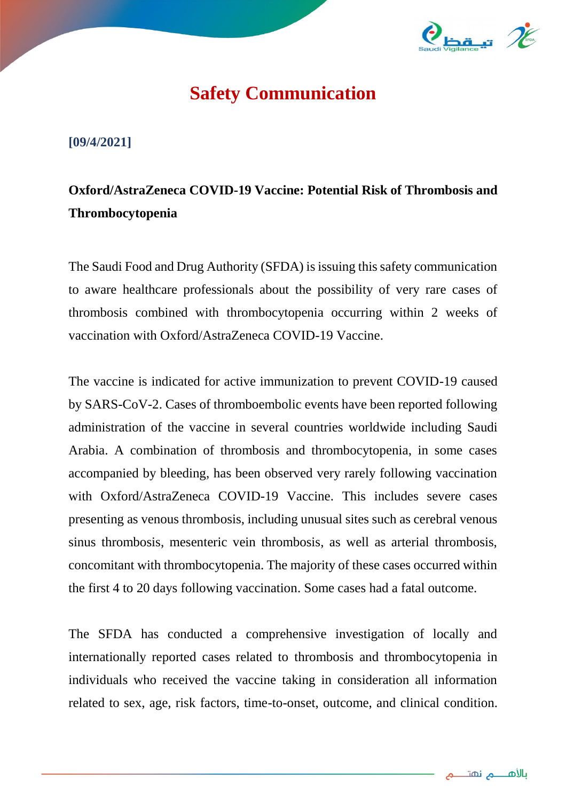

## **Safety Communication**

**[09/4/2021]** 

## **Oxford/AstraZeneca COVID-19 Vaccine: Potential Risk of Thrombosis and Thrombocytopenia**

The Saudi Food and Drug Authority (SFDA) is issuing this safety communication to aware healthcare professionals about the possibility of very rare cases of thrombosis combined with thrombocytopenia occurring within 2 weeks of vaccination with Oxford/AstraZeneca COVID-19 Vaccine.

The vaccine is indicated for active immunization to prevent COVID-19 caused by SARS-CoV-2. Cases of thromboembolic events have been reported following administration of the vaccine in several countries worldwide including Saudi Arabia. A combination of thrombosis and thrombocytopenia, in some cases accompanied by bleeding, has been observed very rarely following vaccination with Oxford/AstraZeneca COVID-19 Vaccine. This includes severe cases presenting as venous thrombosis, including unusual sites such as cerebral venous sinus thrombosis, mesenteric vein thrombosis, as well as arterial thrombosis, concomitant with thrombocytopenia. The majority of these cases occurred within the first 4 to 20 days following vaccination. Some cases had a fatal outcome.

The SFDA has conducted a comprehensive investigation of locally and internationally reported cases related to thrombosis and thrombocytopenia in individuals who received the vaccine taking in consideration all information related to sex, age, risk factors, time-to-onset, outcome, and clinical condition.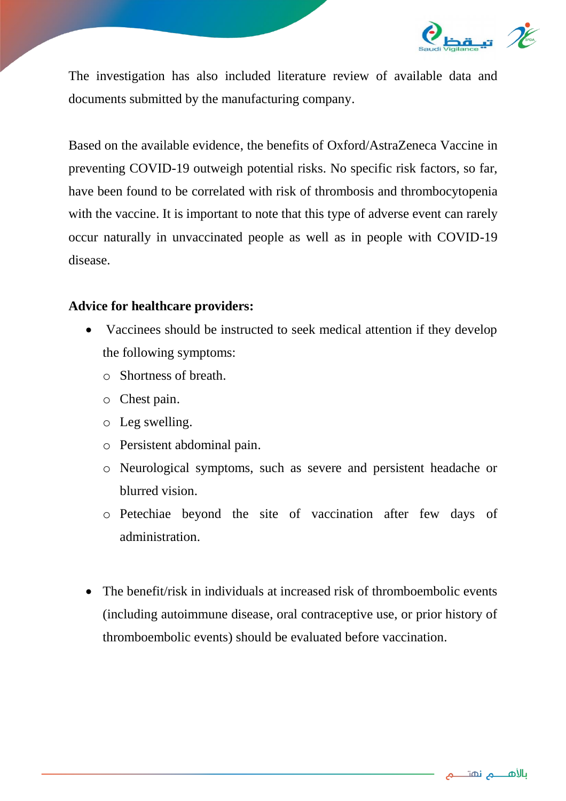

The investigation has also included literature review of available data and documents submitted by the manufacturing company.

Based on the available evidence, the benefits of Oxford/AstraZeneca Vaccine in preventing COVID-19 outweigh potential risks. No specific risk factors, so far, have been found to be correlated with risk of thrombosis and thrombocytopenia with the vaccine. It is important to note that this type of adverse event can rarely occur naturally in unvaccinated people as well as in people with COVID-19 disease.

## **Advice for healthcare providers:**

- Vaccinees should be instructed to seek medical attention if they develop the following symptoms:
	- o Shortness of breath.
	- o Chest pain.
	- o Leg swelling.
	- o Persistent abdominal pain.
	- o Neurological symptoms, such as severe and persistent headache or blurred vision.
	- o Petechiae beyond the site of vaccination after few days of administration.
- The benefit/risk in individuals at increased risk of thromboembolic events (including autoimmune disease, oral contraceptive use, or prior history of thromboembolic events) should be evaluated before vaccination.